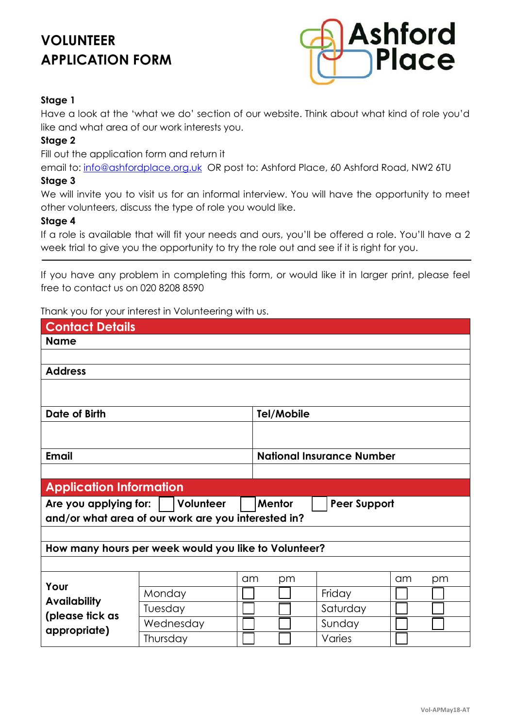# **VOLUNTEER APPLICATION FORM**



#### **Stage 1**

Have a look at the 'what we do' section of our website. Think about what kind of role you'd like and what area of our work interests you.

#### **Stage 2**

Fill out the application form and return it

email to: [info@ashfordplace.org.uk](mailto:info@ashfordplace.org.uk) OR post to: Ashford Place, 60 Ashford Road, NW2 6TU **Stage 3**

We will invite you to visit us for an informal interview. You will have the opportunity to meet other volunteers, discuss the type of role you would like.

#### **Stage 4**

If a role is available that will fit your needs and ours, you'll be offered a role. You'll have a 2 week trial to give you the opportunity to try the role out and see if it is right for you.

If you have any problem in completing this form, or would like it in larger print, please feel free to contact us on 020 8208 8590

Thank you for your interest in Volunteering with us.

| <b>Contact Details</b>                                              |           |            |                                  |          |  |
|---------------------------------------------------------------------|-----------|------------|----------------------------------|----------|--|
| <b>Name</b>                                                         |           |            |                                  |          |  |
|                                                                     |           |            |                                  |          |  |
| <b>Address</b>                                                      |           |            |                                  |          |  |
|                                                                     |           |            |                                  |          |  |
|                                                                     |           |            |                                  |          |  |
| <b>Date of Birth</b>                                                |           | Tel/Mobile |                                  |          |  |
|                                                                     |           |            |                                  |          |  |
|                                                                     |           |            |                                  |          |  |
| <b>Email</b>                                                        |           |            | <b>National Insurance Number</b> |          |  |
|                                                                     |           |            |                                  |          |  |
| <b>Application Information</b>                                      |           |            |                                  |          |  |
| Volunteer<br>Mentor<br><b>Peer Support</b><br>Are you applying for: |           |            |                                  |          |  |
| and/or what area of our work are you interested in?                 |           |            |                                  |          |  |
|                                                                     |           |            |                                  |          |  |
| How many hours per week would you like to Volunteer?                |           |            |                                  |          |  |
|                                                                     |           |            |                                  |          |  |
|                                                                     |           | am<br>pm   |                                  | am<br>pm |  |
| Your                                                                | Monday    |            | Friday                           |          |  |
| <b>Availability</b>                                                 | Tuesday   |            | Saturday                         |          |  |
| (please tick as                                                     | Wednesday |            | Sunday                           |          |  |
| appropriate)                                                        | Thursday  |            | Varies                           |          |  |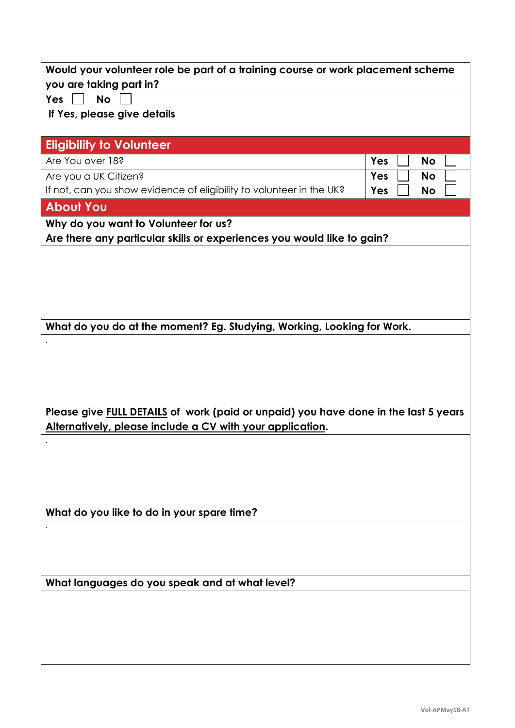| Would your volunteer role be part of a training course or work placement scheme     |     |           |  |
|-------------------------------------------------------------------------------------|-----|-----------|--|
| you are taking part in?                                                             |     |           |  |
| <b>No</b><br><b>Yes</b>                                                             |     |           |  |
| If Yes, please give details                                                         |     |           |  |
| <b>Eligibility to Volunteer</b>                                                     |     |           |  |
| Are You over 18?                                                                    | Yes | <b>No</b> |  |
| Are you a UK Citizen?                                                               | Yes | <b>No</b> |  |
| If not, can you show evidence of eligibility to volunteer in the UK?                | Yes | <b>No</b> |  |
| <b>About You</b>                                                                    |     |           |  |
| Why do you want to Volunteer for us?                                                |     |           |  |
| Are there any particular skills or experiences you would like to gain?              |     |           |  |
|                                                                                     |     |           |  |
|                                                                                     |     |           |  |
|                                                                                     |     |           |  |
|                                                                                     |     |           |  |
|                                                                                     |     |           |  |
| What do you do at the moment? Eg. Studying, Working, Looking for Work.              |     |           |  |
|                                                                                     |     |           |  |
|                                                                                     |     |           |  |
|                                                                                     |     |           |  |
|                                                                                     |     |           |  |
| Please give FULL DETAILS of work (paid or unpaid) you have done in the last 5 years |     |           |  |
| Alternatively, please include a CV with your application.                           |     |           |  |
|                                                                                     |     |           |  |
|                                                                                     |     |           |  |
|                                                                                     |     |           |  |
|                                                                                     |     |           |  |
| What do you like to do in your spare time?                                          |     |           |  |
|                                                                                     |     |           |  |
|                                                                                     |     |           |  |
|                                                                                     |     |           |  |
|                                                                                     |     |           |  |
| What languages do you speak and at what level?                                      |     |           |  |
|                                                                                     |     |           |  |
|                                                                                     |     |           |  |
|                                                                                     |     |           |  |
|                                                                                     |     |           |  |
|                                                                                     |     |           |  |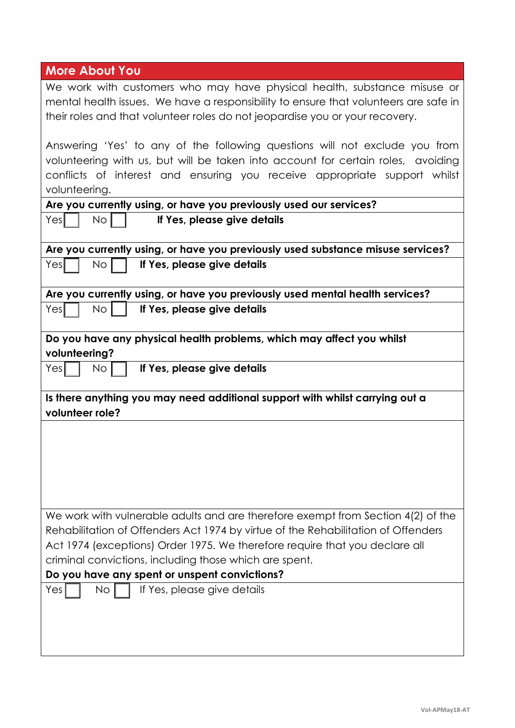| <b>More About You</b>                                                                                                                                                                                                                                         |  |  |
|---------------------------------------------------------------------------------------------------------------------------------------------------------------------------------------------------------------------------------------------------------------|--|--|
| We work with customers who may have physical health, substance misuse or<br>mental health issues. We have a responsibility to ensure that volunteers are safe in<br>their roles and that volunteer roles do not jeopardise you or your recovery.              |  |  |
| Answering 'Yes' to any of the following questions will not exclude you from<br>volunteering with us, but will be taken into account for certain roles, avoiding<br>conflicts of interest and ensuring you receive appropriate support whilst<br>volunteering. |  |  |
| Are you currently using, or have you previously used our services?                                                                                                                                                                                            |  |  |
| Yesl<br>If Yes, please give details<br>No <sub>1</sub>                                                                                                                                                                                                        |  |  |
| Are you currently using, or have you previously used substance misuse services?                                                                                                                                                                               |  |  |
| If Yes, please give details<br>Yesl<br>No.                                                                                                                                                                                                                    |  |  |
| Are you currently using, or have you previously used mental health services?                                                                                                                                                                                  |  |  |
| Yesl<br>No.<br>If Yes, please give details                                                                                                                                                                                                                    |  |  |
| Do you have any physical health problems, which may affect you whilst                                                                                                                                                                                         |  |  |
| volunteering?                                                                                                                                                                                                                                                 |  |  |
| Yes<br>If Yes, please give details<br>No.                                                                                                                                                                                                                     |  |  |
| Is there anything you may need additional support with whilst carrying out a<br>volunteer role?                                                                                                                                                               |  |  |
|                                                                                                                                                                                                                                                               |  |  |
|                                                                                                                                                                                                                                                               |  |  |
|                                                                                                                                                                                                                                                               |  |  |
|                                                                                                                                                                                                                                                               |  |  |
|                                                                                                                                                                                                                                                               |  |  |
| We work with vulnerable adults and are therefore exempt from Section 4(2) of the                                                                                                                                                                              |  |  |
| Rehabilitation of Offenders Act 1974 by virtue of the Rehabilitation of Offenders                                                                                                                                                                             |  |  |
| Act 1974 (exceptions) Order 1975. We therefore require that you declare all                                                                                                                                                                                   |  |  |
| criminal convictions, including those which are spent.                                                                                                                                                                                                        |  |  |
| Do you have any spent or unspent convictions?                                                                                                                                                                                                                 |  |  |
| If Yes, please give details<br>Yes<br>No.                                                                                                                                                                                                                     |  |  |
|                                                                                                                                                                                                                                                               |  |  |
|                                                                                                                                                                                                                                                               |  |  |
|                                                                                                                                                                                                                                                               |  |  |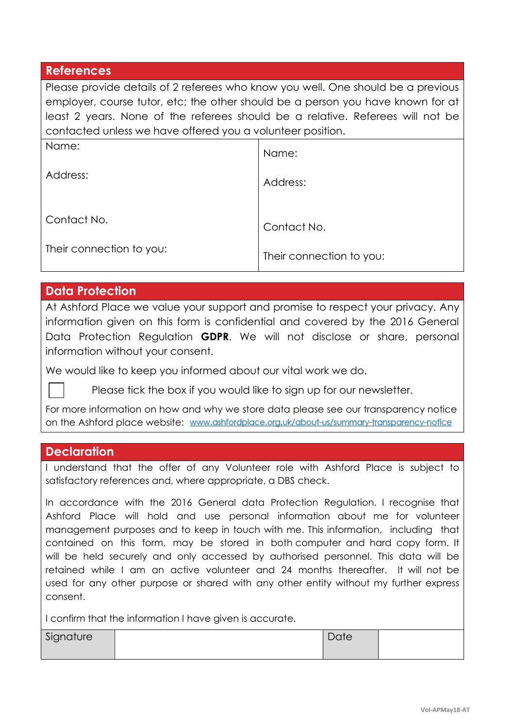#### **References**

Please provide details of 2 referees who know you well. One should be a previous employer, course tutor, etc; the other should be a person you have known for at least 2 years. None of the referees should be a relative. Referees will not be contacted unless we have offered you a volunteer position.

| Name:                    | Name:                    |
|--------------------------|--------------------------|
| Address:                 | Address:                 |
| Contact No.              | Contact No.              |
| Their connection to you: | Their connection to you: |

### **Data Protection**

At Ashford Place we value your support and promise to respect your privacy. Any information given on this form is confidential and covered by the 2016 General Data Protection Regulation **GDPR**. We will not disclose or share, personal information without your consent.

We would like to keep you informed about our vital work we do.

Please tick the box if you would like to sign up for our newsletter.

For more information on how and why we store data please see our transparency notice on the Ashford place website: www.ashfordplace.org.uk/about-us/summary-transparency-notice

#### **Declaration**

I understand that the offer of any Volunteer role with Ashford Place is subject to satisfactory references and, where appropriate, a DBS check.

In accordance with the 2016 General data Protection Regulation. I recognise that Ashford Place will hold and use personal information about me for volunteer management purposes and to keep in touch with me. This information, including that contained on this form, may be stored in both computer and hard copy form. It will be held securely and only accessed by authorised personnel. This data will be retained while I am an active volunteer and 24 months thereafter. It will not be used for any other purpose or shared with any other entity without my further express consent.

I confirm that the information I have given is accurate.

| Signature | Date |  |
|-----------|------|--|
|           |      |  |